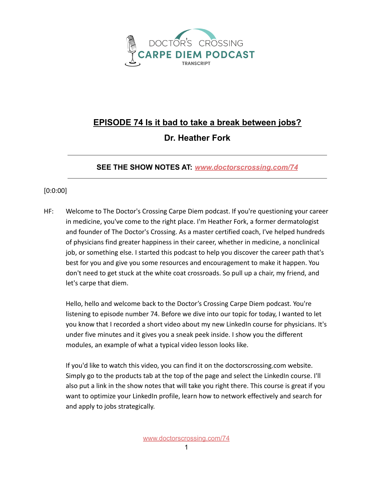

## **EPISODE 74 Is it bad to take a break between jobs?**

## **Dr. Heather Fork**

## **SEE THE SHOW NOTES AT:** *[www.doctorscrossing.com/74](http://www.doctorscrossing.com/74)*

## [0:0:00]

HF: Welcome to The Doctor's Crossing Carpe Diem podcast. If you're questioning your career in medicine, you've come to the right place. I'm Heather Fork, a former dermatologist and founder of The Doctor's Crossing. As a master certified coach, I've helped hundreds of physicians find greater happiness in their career, whether in medicine, a nonclinical job, or something else. I started this podcast to help you discover the career path that's best for you and give you some resources and encouragement to make it happen. You don't need to get stuck at the white coat crossroads. So pull up a chair, my friend, and let's carpe that diem.

Hello, hello and welcome back to the Doctor's Crossing Carpe Diem podcast. You're listening to episode number 74. Before we dive into our topic for today, I wanted to let you know that I recorded a short video about my new LinkedIn course for physicians. It's under five minutes and it gives you a sneak peek inside. I show you the different modules, an example of what a typical video lesson looks like.

If you'd like to watch this video, you can find it on the doctorscrossing.com website. Simply go to the products tab at the top of the page and select the LinkedIn course. I'll also put a link in the show notes that will take you right there. This course is great if you want to optimize your LinkedIn profile, learn how to network effectively and search for and apply to jobs strategically.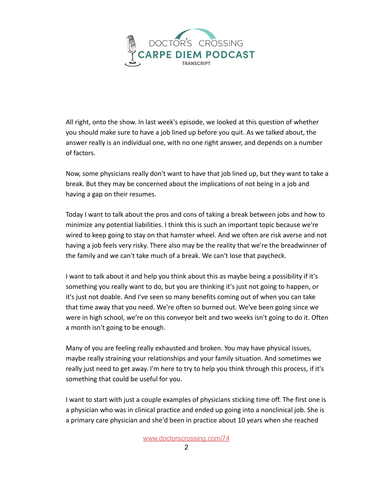

All right, onto the show. In last week's episode, we looked at this question of whether you should make sure to have a job lined up before you quit. As we talked about, the answer really is an individual one, with no one right answer, and depends on a number of factors.

Now, some physicians really don't want to have that job lined up, but they want to take a break. But they may be concerned about the implications of not being in a job and having a gap on their resumes.

Today I want to talk about the pros and cons of taking a break between jobs and how to minimize any potential liabilities. I think this is such an important topic because we're wired to keep going to stay on that hamster wheel. And we often are risk averse and not having a job feels very risky. There also may be the reality that we're the breadwinner of the family and we can't take much of a break. We can't lose that paycheck.

I want to talk about it and help you think about this as maybe being a possibility if it's something you really want to do, but you are thinking it's just not going to happen, or it's just not doable. And I've seen so many benefits coming out of when you can take that time away that you need. We're often so burned out. We've been going since we were in high school, we're on this conveyor belt and two weeks isn't going to do it. Often a month isn't going to be enough.

Many of you are feeling really exhausted and broken. You may have physical issues, maybe really straining your relationships and your family situation. And sometimes we really just need to get away. I'm here to try to help you think through this process, if it's something that could be useful for you.

I want to start with just a couple examples of physicians sticking time off. The first one is a physician who was in clinical practice and ended up going into a nonclinical job. She is a primary care physician and she'd been in practice about 10 years when she reached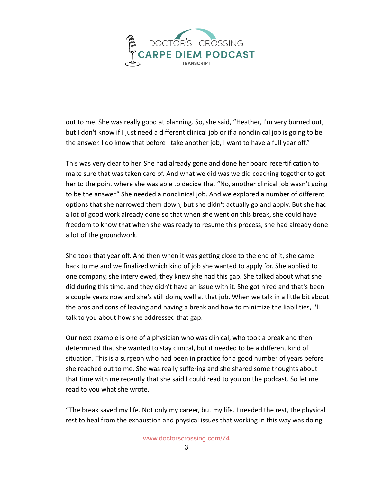

out to me. She was really good at planning. So, she said, "Heather, I'm very burned out, but I don't know if I just need a different clinical job or if a nonclinical job is going to be the answer. I do know that before I take another job, I want to have a full year off."

This was very clear to her. She had already gone and done her board recertification to make sure that was taken care of. And what we did was we did coaching together to get her to the point where she was able to decide that "No, another clinical job wasn't going to be the answer." She needed a nonclinical job. And we explored a number of different options that she narrowed them down, but she didn't actually go and apply. But she had a lot of good work already done so that when she went on this break, she could have freedom to know that when she was ready to resume this process, she had already done a lot of the groundwork.

She took that year off. And then when it was getting close to the end of it, she came back to me and we finalized which kind of job she wanted to apply for. She applied to one company, she interviewed, they knew she had this gap. She talked about what she did during this time, and they didn't have an issue with it. She got hired and that's been a couple years now and she's still doing well at that job. When we talk in a little bit about the pros and cons of leaving and having a break and how to minimize the liabilities, I'll talk to you about how she addressed that gap.

Our next example is one of a physician who was clinical, who took a break and then determined that she wanted to stay clinical, but it needed to be a different kind of situation. This is a surgeon who had been in practice for a good number of years before she reached out to me. She was really suffering and she shared some thoughts about that time with me recently that she said I could read to you on the podcast. So let me read to you what she wrote.

"The break saved my life. Not only my career, but my life. I needed the rest, the physical rest to heal from the exhaustion and physical issues that working in this way was doing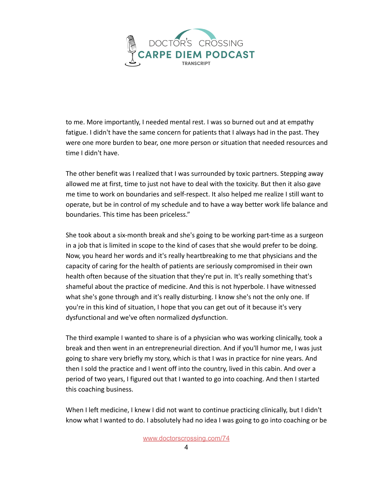

to me. More importantly, I needed mental rest. I was so burned out and at empathy fatigue. I didn't have the same concern for patients that I always had in the past. They were one more burden to bear, one more person or situation that needed resources and time I didn't have.

The other benefit was I realized that I was surrounded by toxic partners. Stepping away allowed me at first, time to just not have to deal with the toxicity. But then it also gave me time to work on boundaries and self-respect. It also helped me realize I still want to operate, but be in control of my schedule and to have a way better work life balance and boundaries. This time has been priceless."

She took about a six-month break and she's going to be working part-time as a surgeon in a job that is limited in scope to the kind of cases that she would prefer to be doing. Now, you heard her words and it's really heartbreaking to me that physicians and the capacity of caring for the health of patients are seriously compromised in their own health often because of the situation that they're put in. It's really something that's shameful about the practice of medicine. And this is not hyperbole. I have witnessed what she's gone through and it's really disturbing. I know she's not the only one. If you're in this kind of situation, I hope that you can get out of it because it's very dysfunctional and we've often normalized dysfunction.

The third example I wanted to share is of a physician who was working clinically, took a break and then went in an entrepreneurial direction. And if you'll humor me, I was just going to share very briefly my story, which is that I was in practice for nine years. And then I sold the practice and I went off into the country, lived in this cabin. And over a period of two years, I figured out that I wanted to go into coaching. And then I started this coaching business.

When I left medicine, I knew I did not want to continue practicing clinically, but I didn't know what I wanted to do. I absolutely had no idea I was going to go into coaching or be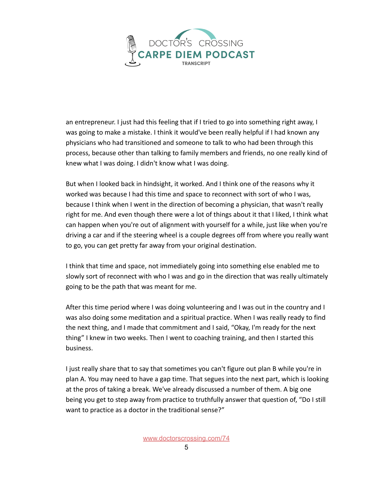

an entrepreneur. I just had this feeling that if I tried to go into something right away, I was going to make a mistake. I think it would've been really helpful if I had known any physicians who had transitioned and someone to talk to who had been through this process, because other than talking to family members and friends, no one really kind of knew what I was doing. I didn't know what I was doing.

But when I looked back in hindsight, it worked. And I think one of the reasons why it worked was because I had this time and space to reconnect with sort of who I was, because I think when I went in the direction of becoming a physician, that wasn't really right for me. And even though there were a lot of things about it that I liked, I think what can happen when you're out of alignment with yourself for a while, just like when you're driving a car and if the steering wheel is a couple degrees off from where you really want to go, you can get pretty far away from your original destination.

I think that time and space, not immediately going into something else enabled me to slowly sort of reconnect with who I was and go in the direction that was really ultimately going to be the path that was meant for me.

After this time period where I was doing volunteering and I was out in the country and I was also doing some meditation and a spiritual practice. When I was really ready to find the next thing, and I made that commitment and I said, "Okay, I'm ready for the next thing" I knew in two weeks. Then I went to coaching training, and then I started this business.

I just really share that to say that sometimes you can't figure out plan B while you're in plan A. You may need to have a gap time. That segues into the next part, which is looking at the pros of taking a break. We've already discussed a number of them. A big one being you get to step away from practice to truthfully answer that question of, "Do I still want to practice as a doctor in the traditional sense?"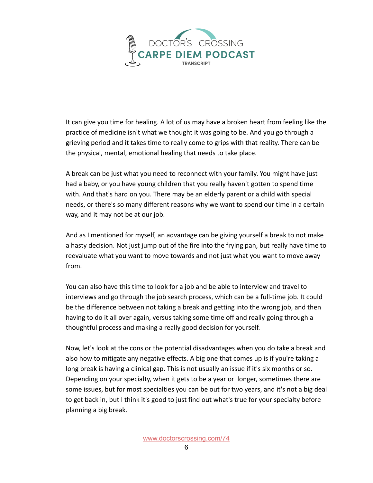

It can give you time for healing. A lot of us may have a broken heart from feeling like the practice of medicine isn't what we thought it was going to be. And you go through a grieving period and it takes time to really come to grips with that reality. There can be the physical, mental, emotional healing that needs to take place.

A break can be just what you need to reconnect with your family. You might have just had a baby, or you have young children that you really haven't gotten to spend time with. And that's hard on you. There may be an elderly parent or a child with special needs, or there's so many different reasons why we want to spend our time in a certain way, and it may not be at our job.

And as I mentioned for myself, an advantage can be giving yourself a break to not make a hasty decision. Not just jump out of the fire into the frying pan, but really have time to reevaluate what you want to move towards and not just what you want to move away from.

You can also have this time to look for a job and be able to interview and travel to interviews and go through the job search process, which can be a full-time job. It could be the difference between not taking a break and getting into the wrong job, and then having to do it all over again, versus taking some time off and really going through a thoughtful process and making a really good decision for yourself.

Now, let's look at the cons or the potential disadvantages when you do take a break and also how to mitigate any negative effects. A big one that comes up is if you're taking a long break is having a clinical gap. This is not usually an issue if it's six months or so. Depending on your specialty, when it gets to be a year or longer, sometimes there are some issues, but for most specialties you can be out for two years, and it's not a big deal to get back in, but I think it's good to just find out what's true for your specialty before planning a big break.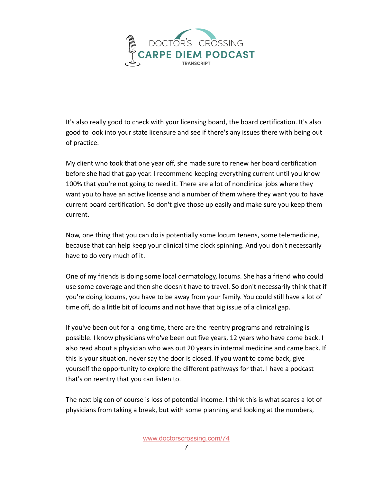

It's also really good to check with your licensing board, the board certification. It's also good to look into your state licensure and see if there's any issues there with being out of practice.

My client who took that one year off, she made sure to renew her board certification before she had that gap year. I recommend keeping everything current until you know 100% that you're not going to need it. There are a lot of nonclinical jobs where they want you to have an active license and a number of them where they want you to have current board certification. So don't give those up easily and make sure you keep them current.

Now, one thing that you can do is potentially some locum tenens, some telemedicine, because that can help keep your clinical time clock spinning. And you don't necessarily have to do very much of it.

One of my friends is doing some local dermatology, locums. She has a friend who could use some coverage and then she doesn't have to travel. So don't necessarily think that if you're doing locums, you have to be away from your family. You could still have a lot of time off, do a little bit of locums and not have that big issue of a clinical gap.

If you've been out for a long time, there are the reentry programs and retraining is possible. I know physicians who've been out five years, 12 years who have come back. I also read about a physician who was out 20 years in internal medicine and came back. If this is your situation, never say the door is closed. If you want to come back, give yourself the opportunity to explore the different pathways for that. I have a podcast that's on reentry that you can listen to.

The next big con of course is loss of potential income. I think this is what scares a lot of physicians from taking a break, but with some planning and looking at the numbers,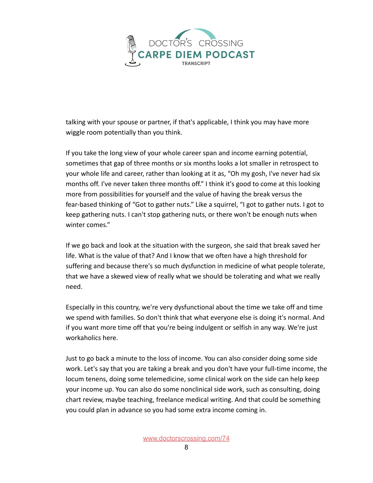

talking with your spouse or partner, if that's applicable, I think you may have more wiggle room potentially than you think.

If you take the long view of your whole career span and income earning potential, sometimes that gap of three months or six months looks a lot smaller in retrospect to your whole life and career, rather than looking at it as, "Oh my gosh, I've never had six months off. I've never taken three months off." I think it's good to come at this looking more from possibilities for yourself and the value of having the break versus the fear-based thinking of "Got to gather nuts." Like a squirrel, "I got to gather nuts. I got to keep gathering nuts. I can't stop gathering nuts, or there won't be enough nuts when winter comes."

If we go back and look at the situation with the surgeon, she said that break saved her life. What is the value of that? And I know that we often have a high threshold for suffering and because there's so much dysfunction in medicine of what people tolerate, that we have a skewed view of really what we should be tolerating and what we really need.

Especially in this country, we're very dysfunctional about the time we take off and time we spend with families. So don't think that what everyone else is doing it's normal. And if you want more time off that you're being indulgent or selfish in any way. We're just workaholics here.

Just to go back a minute to the loss of income. You can also consider doing some side work. Let's say that you are taking a break and you don't have your full-time income, the locum tenens, doing some telemedicine, some clinical work on the side can help keep your income up. You can also do some nonclinical side work, such as consulting, doing chart review, maybe teaching, freelance medical writing. And that could be something you could plan in advance so you had some extra income coming in.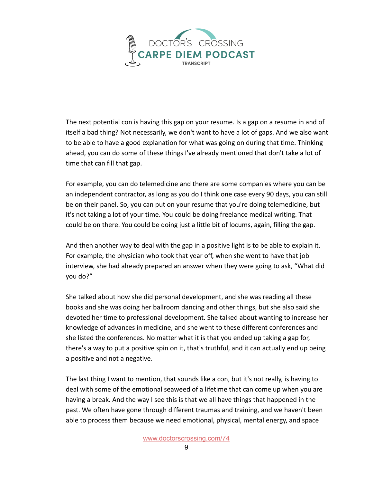

The next potential con is having this gap on your resume. Is a gap on a resume in and of itself a bad thing? Not necessarily, we don't want to have a lot of gaps. And we also want to be able to have a good explanation for what was going on during that time. Thinking ahead, you can do some of these things I've already mentioned that don't take a lot of time that can fill that gap.

For example, you can do telemedicine and there are some companies where you can be an independent contractor, as long as you do I think one case every 90 days, you can still be on their panel. So, you can put on your resume that you're doing telemedicine, but it's not taking a lot of your time. You could be doing freelance medical writing. That could be on there. You could be doing just a little bit of locums, again, filling the gap.

And then another way to deal with the gap in a positive light is to be able to explain it. For example, the physician who took that year off, when she went to have that job interview, she had already prepared an answer when they were going to ask, "What did you do?"

She talked about how she did personal development, and she was reading all these books and she was doing her ballroom dancing and other things, but she also said she devoted her time to professional development. She talked about wanting to increase her knowledge of advances in medicine, and she went to these different conferences and she listed the conferences. No matter what it is that you ended up taking a gap for, there's a way to put a positive spin on it, that's truthful, and it can actually end up being a positive and not a negative.

The last thing I want to mention, that sounds like a con, but it's not really, is having to deal with some of the emotional seaweed of a lifetime that can come up when you are having a break. And the way I see this is that we all have things that happened in the past. We often have gone through different traumas and training, and we haven't been able to process them because we need emotional, physical, mental energy, and space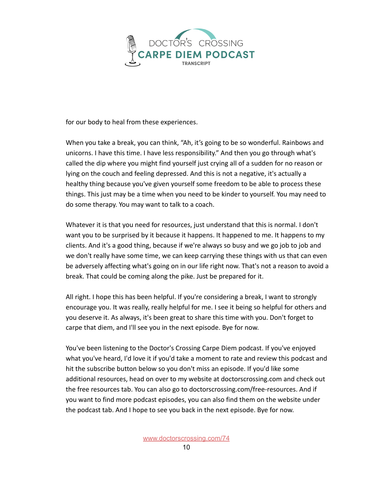

for our body to heal from these experiences.

When you take a break, you can think, "Ah, it's going to be so wonderful. Rainbows and unicorns. I have this time. I have less responsibility." And then you go through what's called the dip where you might find yourself just crying all of a sudden for no reason or lying on the couch and feeling depressed. And this is not a negative, it's actually a healthy thing because you've given yourself some freedom to be able to process these things. This just may be a time when you need to be kinder to yourself. You may need to do some therapy. You may want to talk to a coach.

Whatever it is that you need for resources, just understand that this is normal. I don't want you to be surprised by it because it happens. It happened to me. It happens to my clients. And it's a good thing, because if we're always so busy and we go job to job and we don't really have some time, we can keep carrying these things with us that can even be adversely affecting what's going on in our life right now. That's not a reason to avoid a break. That could be coming along the pike. Just be prepared for it.

All right. I hope this has been helpful. If you're considering a break, I want to strongly encourage you. It was really, really helpful for me. I see it being so helpful for others and you deserve it. As always, it's been great to share this time with you. Don't forget to carpe that diem, and I'll see you in the next episode. Bye for now.

You've been listening to the Doctor's Crossing Carpe Diem podcast. If you've enjoyed what you've heard, I'd love it if you'd take a moment to rate and review this podcast and hit the subscribe button below so you don't miss an episode. If you'd like some additional resources, head on over to my website at doctorscrossing.com and check out the free resources tab. You can also go to [doctorscrossing.com/free-resources.](http://doctorscrossing.com/free-resources) And if you want to find more podcast episodes, you can also find them on the website under the podcast tab. And I hope to see you back in the next episode. Bye for now.